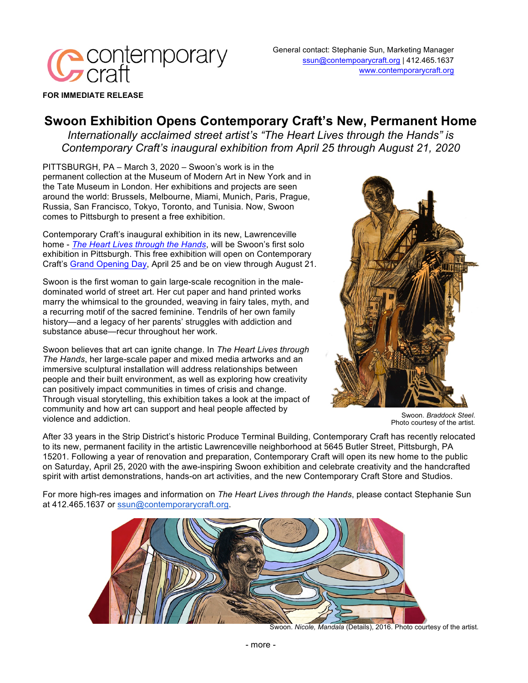

General contact: Stephanie Sun, Marketing Manager ssun@contempoarycraft.org | 412.465.1637 www.contemporarycraft.org

**FOR IMMEDIATE RELEASE**

## **Swoon Exhibition Opens Contemporary Craft's New, Permanent Home**

*Internationally acclaimed street artist's "The Heart Lives through the Hands" is Contemporary Craft's inaugural exhibition from April 25 through August 21, 2020*

PITTSBURGH, PA – March 3, 2020 – Swoon's work is in the permanent collection at the Museum of Modern Art in New York and in the Tate Museum in London. Her exhibitions and projects are seen around the world: Brussels, Melbourne, Miami, Munich, Paris, Prague, Russia, San Francisco, Tokyo, Toronto, and Tunisia. Now, Swoon comes to Pittsburgh to present a free exhibition.

Contemporary Craft's inaugural exhibition in its new, Lawrenceville home - *The Heart Lives through the Hands*, will be Swoon's first solo exhibition in Pittsburgh. This free exhibition will open on Contemporary Craft's Grand Opening Day, April 25 and be on view through August 21.

Swoon is the first woman to gain large-scale recognition in the maledominated world of street art. Her cut paper and hand printed works marry the whimsical to the grounded, weaving in fairy tales, myth, and a recurring motif of the sacred feminine. Tendrils of her own family history—and a legacy of her parents' struggles with addiction and substance abuse—recur throughout her work.

Swoon believes that art can ignite change. In *The Heart Lives through The Hands*, her large-scale paper and mixed media artworks and an immersive sculptural installation will address relationships between people and their built environment, as well as exploring how creativity can positively impact communities in times of crisis and change. Through visual storytelling, this exhibition takes a look at the impact of community and how art can support and heal people affected by violence and addiction.



Swoon. *Braddock Steel*. Photo courtesy of the artist.

After 33 years in the Strip District's historic Produce Terminal Building, Contemporary Craft has recently relocated to its new, permanent facility in the artistic Lawrenceville neighborhood at 5645 Butler Street, Pittsburgh, PA 15201. Following a year of renovation and preparation, Contemporary Craft will open its new home to the public on Saturday, April 25, 2020 with the awe-inspiring Swoon exhibition and celebrate creativity and the handcrafted spirit with artist demonstrations, hands-on art activities, and the new Contemporary Craft Store and Studios.

For more high-res images and information on *The Heart Lives through the Hands*, please contact Stephanie Sun at 412.465.1637 or ssun@contemporarycraft.org.



Swoon. *Nicole, Mandala* (Details), 2016. Photo courtesy of the artist.